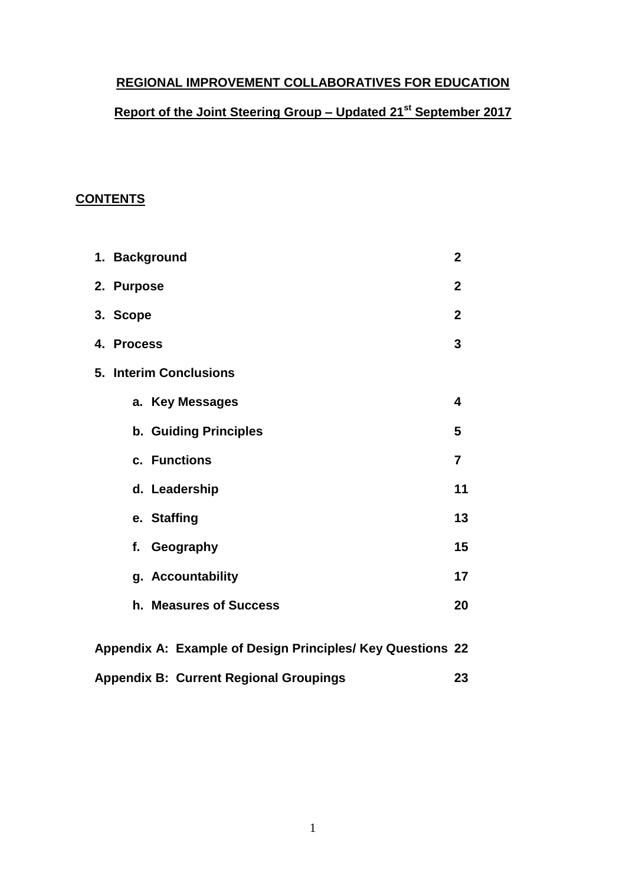# **REGIONAL IMPROVEMENT COLLABORATIVES FOR EDUCATION**

## **Report of the Joint Steering Group – Updated 21 st September 2017**

## **CONTENTS**

| 1. Background                                              | $\overline{2}$ |  |  |  |
|------------------------------------------------------------|----------------|--|--|--|
| 2. Purpose                                                 | $\overline{2}$ |  |  |  |
| 3. Scope                                                   | $\mathbf{2}$   |  |  |  |
| 4. Process                                                 | 3              |  |  |  |
| 5. Interim Conclusions                                     |                |  |  |  |
| a. Key Messages                                            | 4              |  |  |  |
| b. Guiding Principles                                      | 5              |  |  |  |
| c. Functions                                               | $\overline{7}$ |  |  |  |
| d. Leadership                                              | 11             |  |  |  |
| e. Staffing                                                | 13             |  |  |  |
| f. Geography                                               | 15             |  |  |  |
| g. Accountability                                          | 17             |  |  |  |
| h. Measures of Success                                     | 20             |  |  |  |
| Appendix A: Example of Design Principles/ Key Questions 22 |                |  |  |  |

| <b>Appendix B: Current Regional Groupings</b> | 23. |
|-----------------------------------------------|-----|
|                                               |     |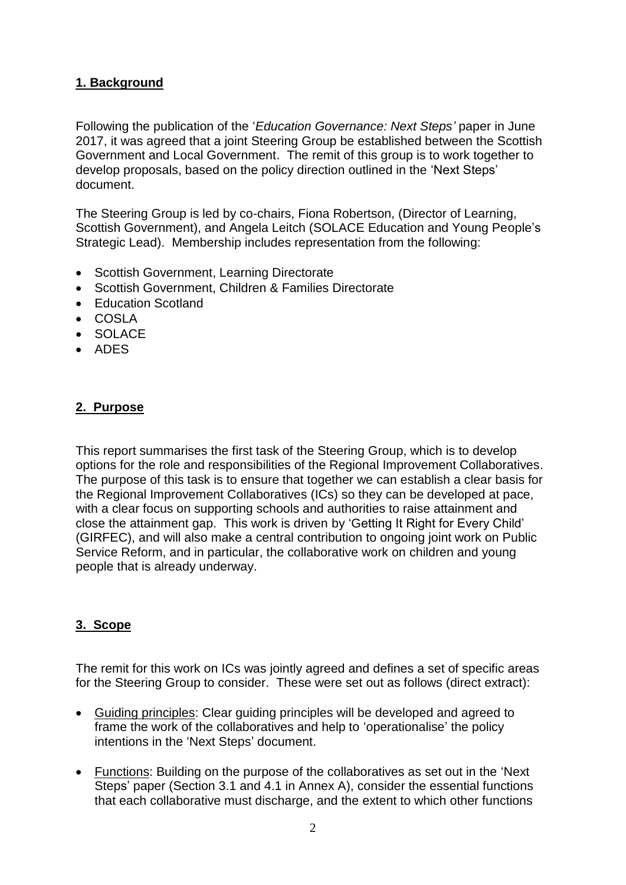# **1. Background**

Following the publication of the '*Education Governance: Next Steps'* paper in June 2017, it was agreed that a joint Steering Group be established between the Scottish Government and Local Government. The remit of this group is to work together to develop proposals, based on the policy direction outlined in the 'Next Steps' document.

The Steering Group is led by co-chairs, Fiona Robertson, (Director of Learning, Scottish Government), and Angela Leitch (SOLACE Education and Young People's Strategic Lead). Membership includes representation from the following:

- Scottish Government, Learning Directorate
- Scottish Government, Children & Families Directorate
- Education Scotland
- COSLA
- SOLACE
- ADES

## **2. Purpose**

This report summarises the first task of the Steering Group, which is to develop options for the role and responsibilities of the Regional Improvement Collaboratives. The purpose of this task is to ensure that together we can establish a clear basis for the Regional Improvement Collaboratives (ICs) so they can be developed at pace, with a clear focus on supporting schools and authorities to raise attainment and close the attainment gap. This work is driven by 'Getting It Right for Every Child' (GIRFEC), and will also make a central contribution to ongoing joint work on Public Service Reform, and in particular, the collaborative work on children and young people that is already underway.

## **3. Scope**

The remit for this work on ICs was jointly agreed and defines a set of specific areas for the Steering Group to consider. These were set out as follows (direct extract):

- Guiding principles: Clear guiding principles will be developed and agreed to frame the work of the collaboratives and help to 'operationalise' the policy intentions in the 'Next Steps' document.
- Functions: Building on the purpose of the collaboratives as set out in the 'Next Steps' paper (Section 3.1 and 4.1 in Annex A), consider the essential functions that each collaborative must discharge, and the extent to which other functions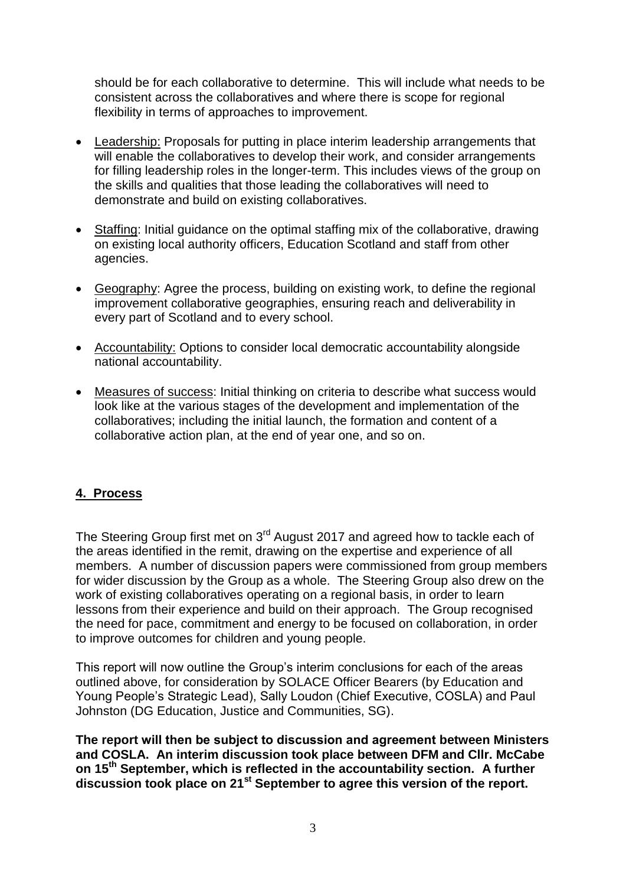should be for each collaborative to determine. This will include what needs to be consistent across the collaboratives and where there is scope for regional flexibility in terms of approaches to improvement.

- Leadership: Proposals for putting in place interim leadership arrangements that will enable the collaboratives to develop their work, and consider arrangements for filling leadership roles in the longer-term. This includes views of the group on the skills and qualities that those leading the collaboratives will need to demonstrate and build on existing collaboratives.
- Staffing: Initial guidance on the optimal staffing mix of the collaborative, drawing on existing local authority officers, Education Scotland and staff from other agencies.
- Geography: Agree the process, building on existing work, to define the regional improvement collaborative geographies, ensuring reach and deliverability in every part of Scotland and to every school.
- Accountability: Options to consider local democratic accountability alongside national accountability.
- Measures of success: Initial thinking on criteria to describe what success would look like at the various stages of the development and implementation of the collaboratives; including the initial launch, the formation and content of a collaborative action plan, at the end of year one, and so on.

#### **4. Process**

The Steering Group first met on 3<sup>rd</sup> August 2017 and agreed how to tackle each of the areas identified in the remit, drawing on the expertise and experience of all members. A number of discussion papers were commissioned from group members for wider discussion by the Group as a whole. The Steering Group also drew on the work of existing collaboratives operating on a regional basis, in order to learn lessons from their experience and build on their approach. The Group recognised the need for pace, commitment and energy to be focused on collaboration, in order to improve outcomes for children and young people.

This report will now outline the Group's interim conclusions for each of the areas outlined above, for consideration by SOLACE Officer Bearers (by Education and Young People's Strategic Lead), Sally Loudon (Chief Executive, COSLA) and Paul Johnston (DG Education, Justice and Communities, SG).

The report will then be subject to discussion and agreement between Ministers **and COSLA. An interim discussion took place between DFM and Cllr. McCabe on 15th September, which is reflected in the accountability section. A further discussion took place on 21st September to agree this version of the report.**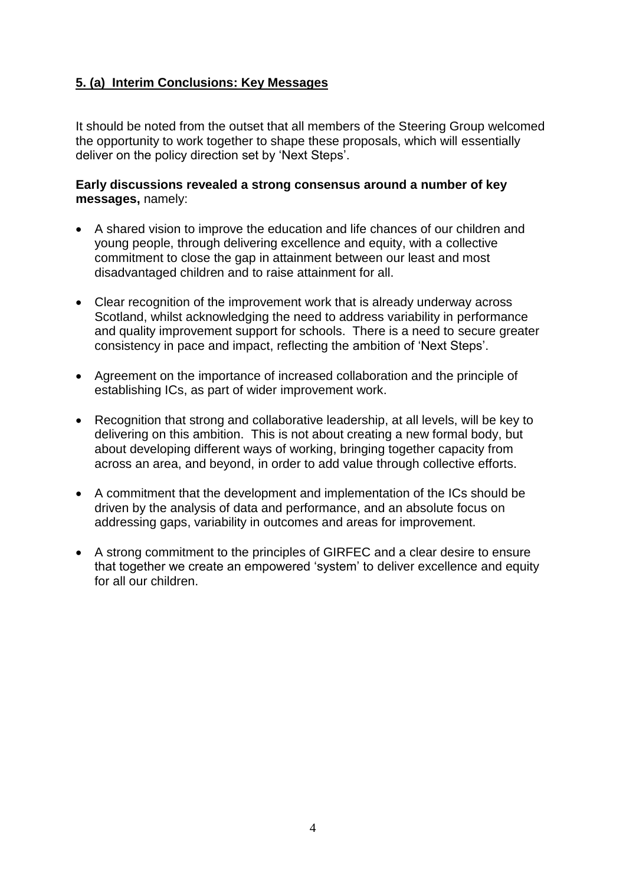# **5. (a) Interim Conclusions: Key Messages**

It should be noted from the outset that all members of the Steering Group welcomed the opportunity to work together to shape these proposals, which will essentially deliver on the policy direction set by 'Next Steps'.

#### **Early discussions revealed a strong consensus around a number of key messages,** namely:

- A shared vision to improve the education and life chances of our children and young people, through delivering excellence and equity, with a collective commitment to close the gap in attainment between our least and most disadvantaged children and to raise attainment for all.
- Clear recognition of the improvement work that is already underway across Scotland, whilst acknowledging the need to address variability in performance and quality improvement support for schools. There is a need to secure greater consistency in pace and impact, reflecting the ambition of 'Next Steps'.
- Agreement on the importance of increased collaboration and the principle of establishing ICs, as part of wider improvement work.
- Recognition that strong and collaborative leadership, at all levels, will be key to delivering on this ambition. This is not about creating a new formal body, but about developing different ways of working, bringing together capacity from across an area, and beyond, in order to add value through collective efforts.
- A commitment that the development and implementation of the ICs should be driven by the analysis of data and performance, and an absolute focus on addressing gaps, variability in outcomes and areas for improvement.
- A strong commitment to the principles of GIRFEC and a clear desire to ensure that together we create an empowered 'system' to deliver excellence and equity for all our children.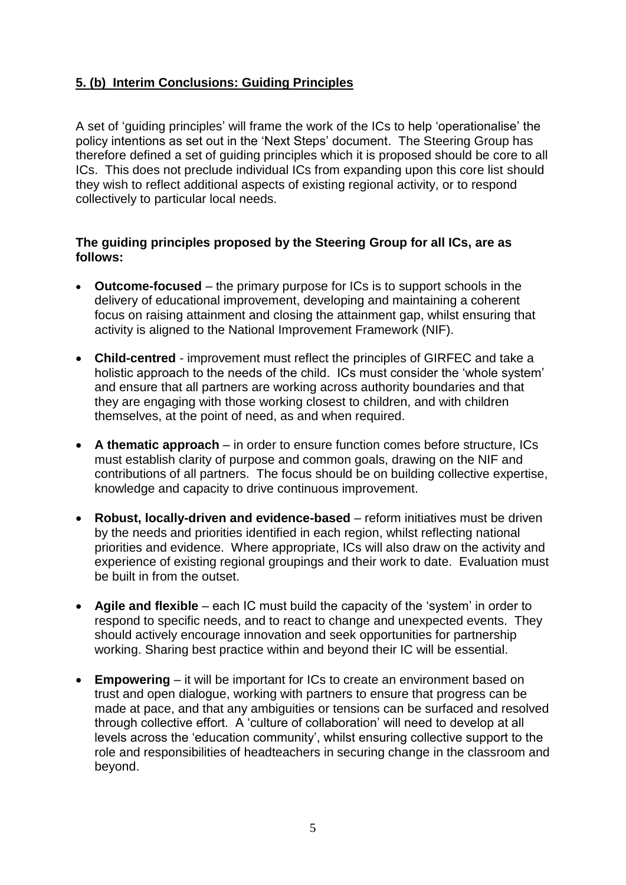# **5. (b) Interim Conclusions: Guiding Principles**

A set of 'guiding principles' will frame the work of the ICs to help 'operationalise' the policy intentions as set out in the 'Next Steps' document. The Steering Group has therefore defined a set of guiding principles which it is proposed should be core to all ICs. This does not preclude individual ICs from expanding upon this core list should they wish to reflect additional aspects of existing regional activity, or to respond collectively to particular local needs.

#### **The guiding principles proposed by the Steering Group for all ICs, are as follows:**

- **Outcome-focused** the primary purpose for ICs is to support schools in the delivery of educational improvement, developing and maintaining a coherent focus on raising attainment and closing the attainment gap, whilst ensuring that activity is aligned to the National Improvement Framework (NIF).
- **Child-centred** improvement must reflect the principles of GIRFEC and take a holistic approach to the needs of the child. ICs must consider the 'whole system' and ensure that all partners are working across authority boundaries and that they are engaging with those working closest to children, and with children themselves, at the point of need, as and when required.
- **A thematic approach** in order to ensure function comes before structure, ICs must establish clarity of purpose and common goals, drawing on the NIF and contributions of all partners. The focus should be on building collective expertise, knowledge and capacity to drive continuous improvement.
- **Robust, locally-driven and evidence-based** reform initiatives must be driven by the needs and priorities identified in each region, whilst reflecting national priorities and evidence. Where appropriate, ICs will also draw on the activity and experience of existing regional groupings and their work to date. Evaluation must be built in from the outset.
- **Agile and flexible** each IC must build the capacity of the 'system' in order to respond to specific needs, and to react to change and unexpected events. They should actively encourage innovation and seek opportunities for partnership working. Sharing best practice within and beyond their IC will be essential.
- **Empowering** it will be important for ICs to create an environment based on trust and open dialogue, working with partners to ensure that progress can be made at pace, and that any ambiguities or tensions can be surfaced and resolved through collective effort. A 'culture of collaboration' will need to develop at all levels across the 'education community', whilst ensuring collective support to the role and responsibilities of headteachers in securing change in the classroom and beyond.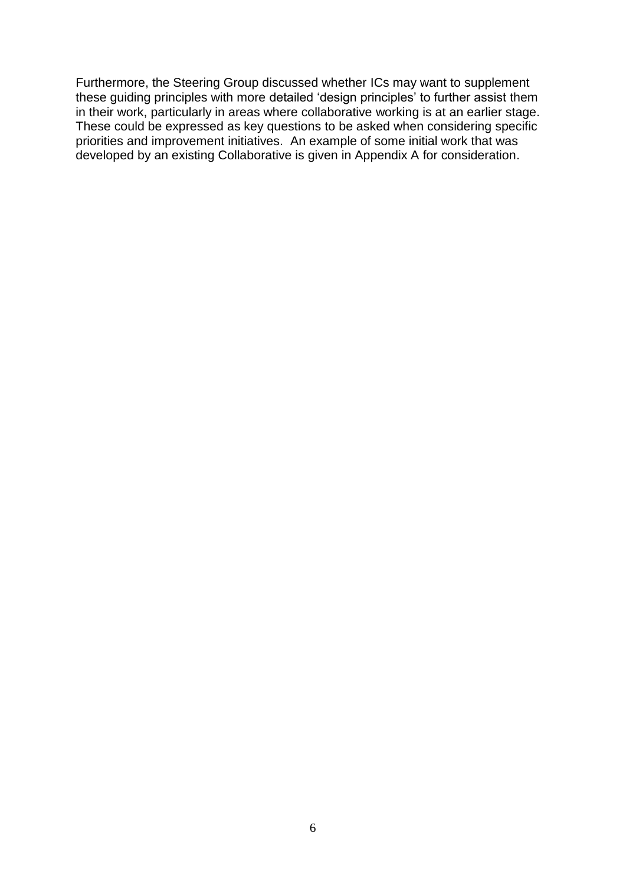Furthermore, the Steering Group discussed whether ICs may want to supplement these guiding principles with more detailed 'design principles' to further assist them in their work, particularly in areas where collaborative working is at an earlier stage. These could be expressed as key questions to be asked when considering specific priorities and improvement initiatives. An example of some initial work that was developed by an existing Collaborative is given in Appendix A for consideration.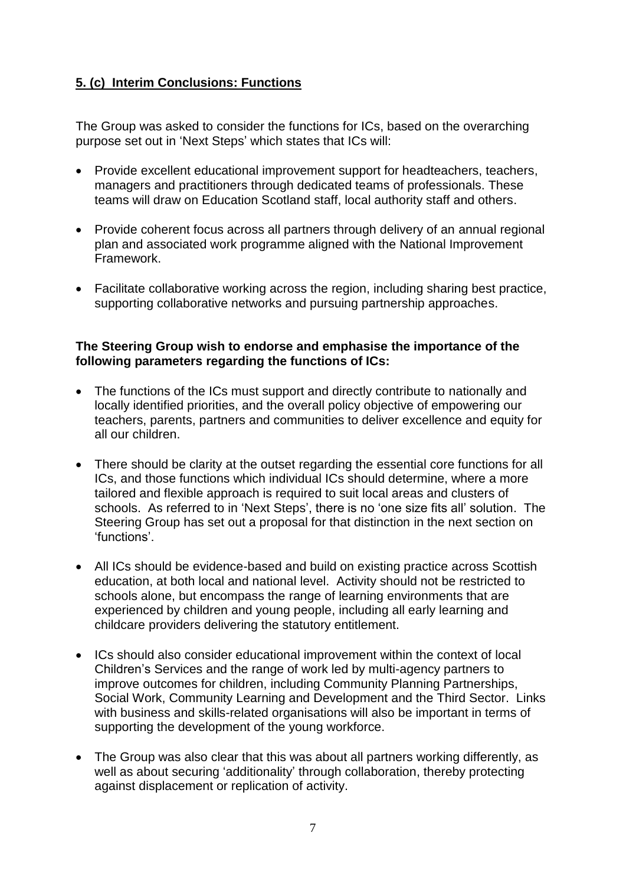# **5. (c) Interim Conclusions: Functions**

The Group was asked to consider the functions for ICs, based on the overarching purpose set out in 'Next Steps' which states that ICs will:

- Provide excellent educational improvement support for headteachers, teachers, managers and practitioners through dedicated teams of professionals. These teams will draw on Education Scotland staff, local authority staff and others.
- Provide coherent focus across all partners through delivery of an annual regional plan and associated work programme aligned with the National Improvement Framework.
- Facilitate collaborative working across the region, including sharing best practice, supporting collaborative networks and pursuing partnership approaches.

### **The Steering Group wish to endorse and emphasise the importance of the following parameters regarding the functions of ICs:**

- The functions of the ICs must support and directly contribute to nationally and locally identified priorities, and the overall policy objective of empowering our teachers, parents, partners and communities to deliver excellence and equity for all our children.
- There should be clarity at the outset regarding the essential core functions for all ICs, and those functions which individual ICs should determine, where a more tailored and flexible approach is required to suit local areas and clusters of schools. As referred to in 'Next Steps', there is no 'one size fits all' solution. The Steering Group has set out a proposal for that distinction in the next section on 'functions'.
- All ICs should be evidence-based and build on existing practice across Scottish education, at both local and national level. Activity should not be restricted to schools alone, but encompass the range of learning environments that are experienced by children and young people, including all early learning and childcare providers delivering the statutory entitlement.
- ICs should also consider educational improvement within the context of local Children's Services and the range of work led by multi-agency partners to improve outcomes for children, including Community Planning Partnerships, Social Work, Community Learning and Development and the Third Sector. Links with business and skills-related organisations will also be important in terms of supporting the development of the young workforce.
- The Group was also clear that this was about all partners working differently, as well as about securing 'additionality' through collaboration, thereby protecting against displacement or replication of activity.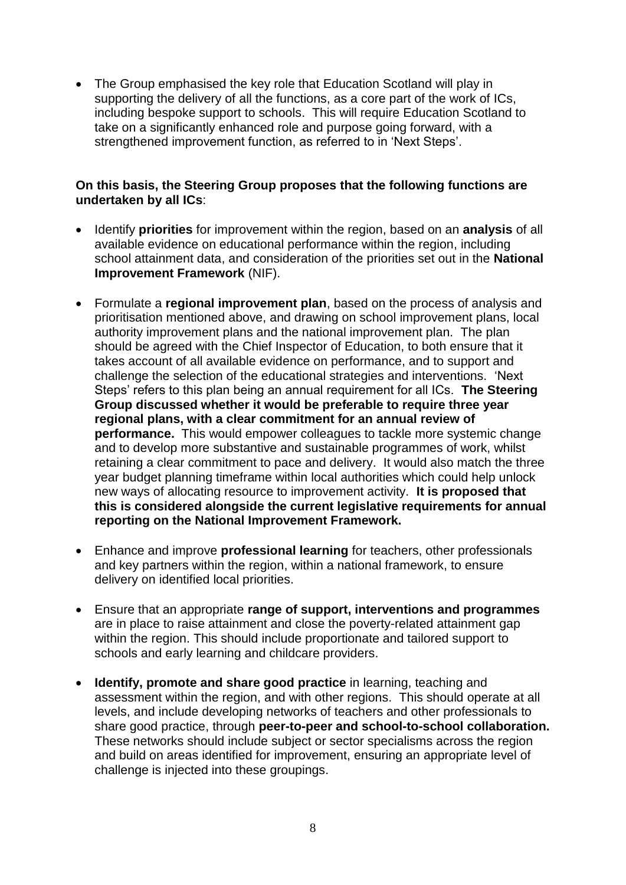• The Group emphasised the key role that Education Scotland will play in supporting the delivery of all the functions, as a core part of the work of ICs, including bespoke support to schools. This will require Education Scotland to take on a significantly enhanced role and purpose going forward, with a strengthened improvement function, as referred to in 'Next Steps'.

#### **On this basis, the Steering Group proposes that the following functions are undertaken by all ICs**:

- Identify **priorities** for improvement within the region, based on an **analysis** of all available evidence on educational performance within the region, including school attainment data, and consideration of the priorities set out in the **National Improvement Framework** (NIF).
- Formulate a **regional improvement plan**, based on the process of analysis and prioritisation mentioned above, and drawing on school improvement plans, local authority improvement plans and the national improvement plan*.* The plan should be agreed with the Chief Inspector of Education, to both ensure that it takes account of all available evidence on performance, and to support and challenge the selection of the educational strategies and interventions. 'Next Steps' refers to this plan being an annual requirement for all ICs. **The Steering Group discussed whether it would be preferable to require three year regional plans, with a clear commitment for an annual review of performance.** This would empower colleagues to tackle more systemic change and to develop more substantive and sustainable programmes of work, whilst retaining a clear commitment to pace and delivery. It would also match the three year budget planning timeframe within local authorities which could help unlock new ways of allocating resource to improvement activity. **It is proposed that this is considered alongside the current legislative requirements for annual reporting on the National Improvement Framework.**
- Enhance and improve **professional learning** for teachers, other professionals and key partners within the region, within a national framework, to ensure delivery on identified local priorities.
- Ensure that an appropriate **range of support, interventions and programmes** are in place to raise attainment and close the poverty-related attainment gap within the region. This should include proportionate and tailored support to schools and early learning and childcare providers.
- **Identify, promote and share good practice** in learning, teaching and assessment within the region, and with other regions. This should operate at all levels, and include developing networks of teachers and other professionals to share good practice, through **peer-to-peer and school-to-school collaboration.**  These networks should include subject or sector specialisms across the region and build on areas identified for improvement, ensuring an appropriate level of challenge is injected into these groupings.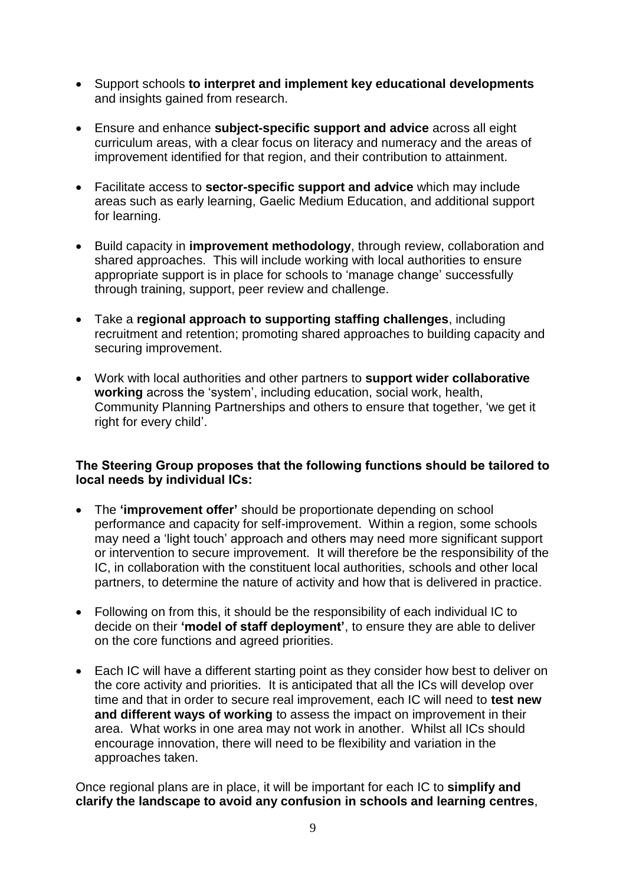- Support schools **to interpret and implement key educational developments** and insights gained from research.
- Ensure and enhance **subject-specific support and advice** across all eight curriculum areas, with a clear focus on literacy and numeracy and the areas of improvement identified for that region, and their contribution to attainment.
- Facilitate access to **sector-specific support and advice** which may include areas such as early learning, Gaelic Medium Education, and additional support for learning.
- Build capacity in **improvement methodology**, through review, collaboration and shared approaches. This will include working with local authorities to ensure appropriate support is in place for schools to 'manage change' successfully through training, support, peer review and challenge.
- Take a **regional approach to supporting staffing challenges**, including recruitment and retention; promoting shared approaches to building capacity and securing improvement.
- Work with local authorities and other partners to **support wider collaborative working** across the 'system', including education, social work, health, Community Planning Partnerships and others to ensure that together, 'we get it right for every child'.

### **The Steering Group proposes that the following functions should be tailored to local needs by individual ICs:**

- The **'improvement offer'** should be proportionate depending on school performance and capacity for self-improvement. Within a region, some schools may need a 'light touch' approach and others may need more significant support or intervention to secure improvement. It will therefore be the responsibility of the IC, in collaboration with the constituent local authorities, schools and other local partners, to determine the nature of activity and how that is delivered in practice.
- Following on from this, it should be the responsibility of each individual IC to decide on their 'model of staff deployment', to ensure they are able to deliver on the core functions and agreed priorities.
- Each IC will have a different starting point as they consider how best to deliver on the core activity and priorities. It is anticipated that all the ICs will develop over time and that in order to secure real improvement, each IC will need to **test new and different ways of working** to assess the impact on improvement in their area. What works in one area may not work in another. Whilst all ICs should encourage innovation, there will need to be flexibility and variation in the approaches taken.

Once regional plans are in place, it will be important for each IC to **simplify and clarify the landscape to avoid any confusion in schools and learning centres**,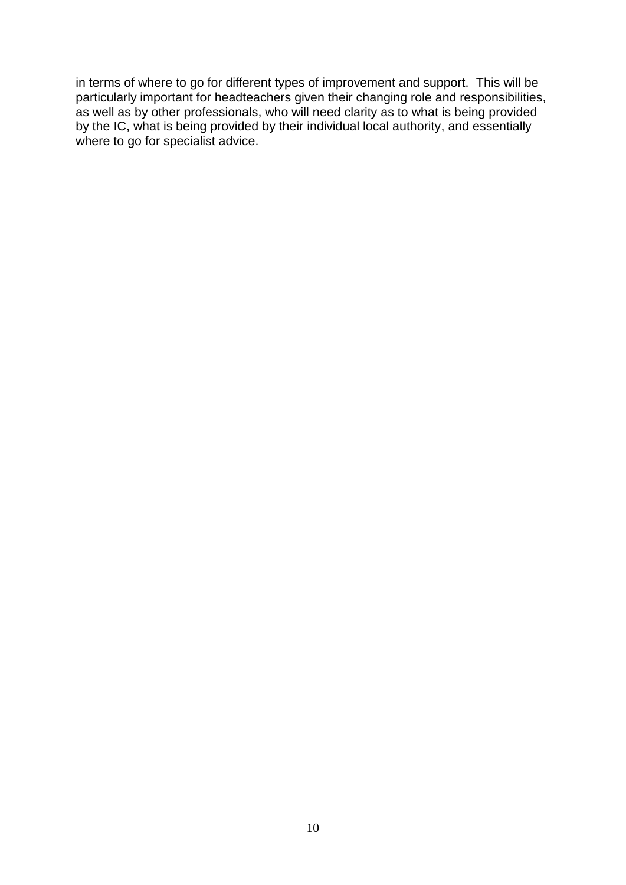in terms of where to go for different types of improvement and support. This will be particularly important for headteachers given their changing role and responsibilities, as well as by other professionals, who will need clarity as to what is being provided by the IC, what is being provided by their individual local authority, and essentially where to go for specialist advice.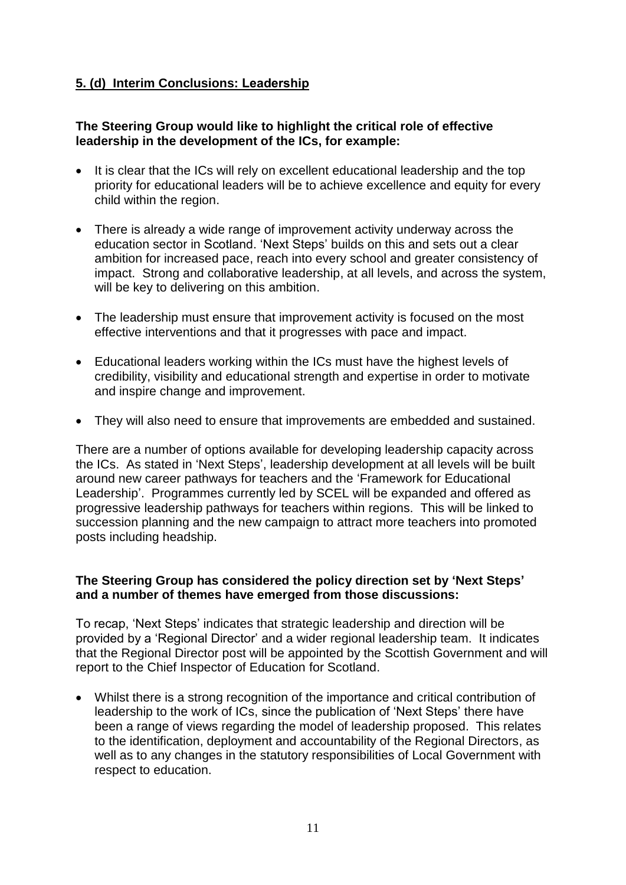# **5. (d) Interim Conclusions: Leadership**

#### **The Steering Group would like to highlight the critical role of effective leadership in the development of the ICs, for example:**

- It is clear that the ICs will rely on excellent educational leadership and the top priority for educational leaders will be to achieve excellence and equity for every child within the region.
- There is already a wide range of improvement activity underway across the education sector in Scotland. 'Next Steps' builds on this and sets out a clear ambition for increased pace, reach into every school and greater consistency of impact. Strong and collaborative leadership, at all levels, and across the system, will be key to delivering on this ambition.
- The leadership must ensure that improvement activity is focused on the most effective interventions and that it progresses with pace and impact.
- Educational leaders working within the ICs must have the highest levels of credibility, visibility and educational strength and expertise in order to motivate and inspire change and improvement.
- They will also need to ensure that improvements are embedded and sustained.

There are a number of options available for developing leadership capacity across the ICs. As stated in 'Next Steps', leadership development at all levels will be built around new career pathways for teachers and the 'Framework for Educational Leadership'. Programmes currently led by SCEL will be expanded and offered as progressive leadership pathways for teachers within regions. This will be linked to succession planning and the new campaign to attract more teachers into promoted posts including headship.

#### **The Steering Group has considered the policy direction set by 'Next Steps' and a number of themes have emerged from those discussions:**

To recap, 'Next Steps' indicates that strategic leadership and direction will be provided by a 'Regional Director' and a wider regional leadership team. It indicates that the Regional Director post will be appointed by the Scottish Government and will report to the Chief Inspector of Education for Scotland.

 Whilst there is a strong recognition of the importance and critical contribution of leadership to the work of ICs, since the publication of 'Next Steps' there have been a range of views regarding the model of leadership proposed. This relates to the identification, deployment and accountability of the Regional Directors, as well as to any changes in the statutory responsibilities of Local Government with respect to education.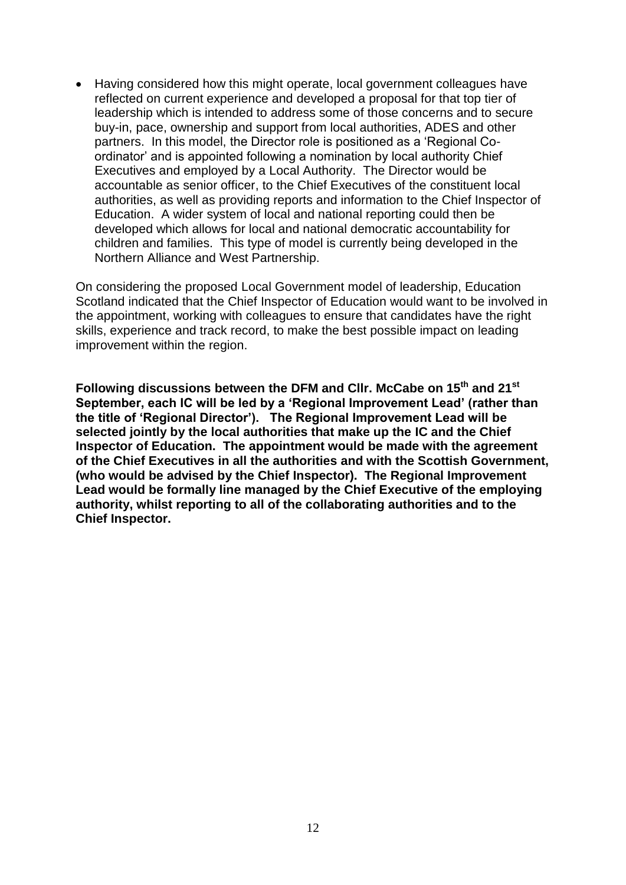Having considered how this might operate, local government colleagues have reflected on current experience and developed a proposal for that top tier of leadership which is intended to address some of those concerns and to secure buy-in, pace, ownership and support from local authorities, ADES and other partners. In this model, the Director role is positioned as a 'Regional Coordinator' and is appointed following a nomination by local authority Chief Executives and employed by a Local Authority. The Director would be accountable as senior officer, to the Chief Executives of the constituent local authorities, as well as providing reports and information to the Chief Inspector of Education. A wider system of local and national reporting could then be developed which allows for local and national democratic accountability for children and families. This type of model is currently being developed in the Northern Alliance and West Partnership.

On considering the proposed Local Government model of leadership, Education Scotland indicated that the Chief Inspector of Education would want to be involved in the appointment, working with colleagues to ensure that candidates have the right skills, experience and track record, to make the best possible impact on leading improvement within the region.

**Following discussions between the DFM and Cllr. McCabe on 15th and 21st** September, each IC will be led by a 'Regional Improvement Lead' (rather than the title of 'Regional Director'). The Regional Improvement Lead will be **selected jointly by the local authorities that make up the IC and the Chief Inspector of Education. The appointment would be made with the agreement of the Chief Executives in all the authorities and with the Scottish Government, (who would be advised by the Chief Inspector). The Regional Improvement Lead would be formally line managed by the Chief Executive of the employing authority, whilst reporting to all of the collaborating authorities and to the Chief Inspector.**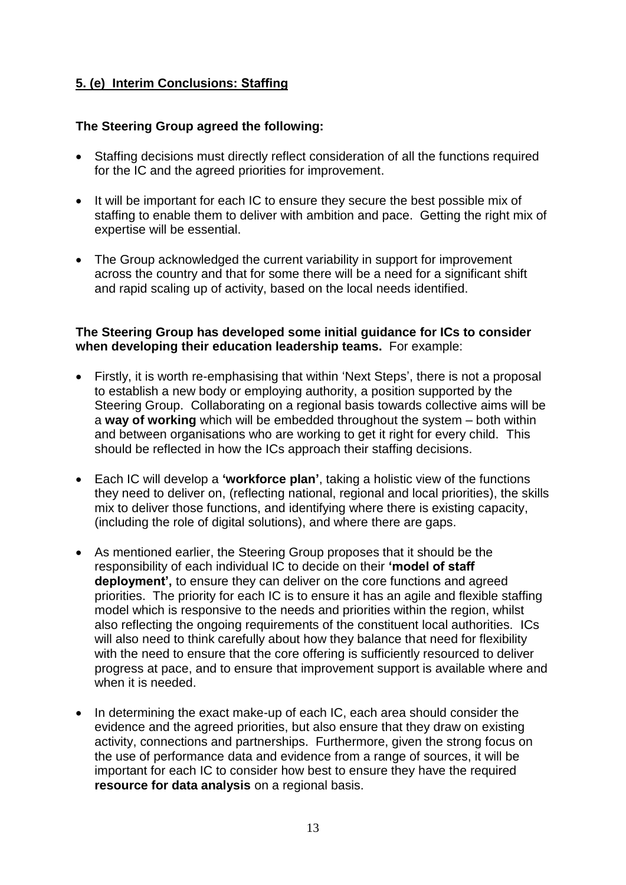# **5. (e) Interim Conclusions: Staffing**

### **The Steering Group agreed the following:**

- Staffing decisions must directly reflect consideration of all the functions required for the IC and the agreed priorities for improvement.
- It will be important for each IC to ensure they secure the best possible mix of staffing to enable them to deliver with ambition and pace. Getting the right mix of expertise will be essential.
- The Group acknowledged the current variability in support for improvement across the country and that for some there will be a need for a significant shift and rapid scaling up of activity, based on the local needs identified.

#### **The Steering Group has developed some initial guidance for ICs to consider when developing their education leadership teams.** For example:

- Firstly, it is worth re-emphasising that within 'Next Steps', there is not a proposal to establish a new body or employing authority, a position supported by the Steering Group. Collaborating on a regional basis towards collective aims will be a **way of working** which will be embedded throughout the system – both within and between organisations who are working to get it right for every child. This should be reflected in how the ICs approach their staffing decisions.
- Each IC will develop a **'workforce plan'**, taking a holistic view of the functions they need to deliver on, (reflecting national, regional and local priorities), the skills mix to deliver those functions, and identifying where there is existing capacity, (including the role of digital solutions), and where there are gaps.
- As mentioned earlier, the Steering Group proposes that it should be the responsibility of each individual IC to decide on their 'model of staff **deployment',** to ensure they can deliver on the core functions and agreed priorities. The priority for each IC is to ensure it has an agile and flexible staffing model which is responsive to the needs and priorities within the region, whilst also reflecting the ongoing requirements of the constituent local authorities. ICs will also need to think carefully about how they balance that need for flexibility with the need to ensure that the core offering is sufficiently resourced to deliver progress at pace, and to ensure that improvement support is available where and when it is needed.
- In determining the exact make-up of each IC, each area should consider the evidence and the agreed priorities, but also ensure that they draw on existing activity, connections and partnerships. Furthermore, given the strong focus on the use of performance data and evidence from a range of sources, it will be important for each IC to consider how best to ensure they have the required **resource for data analysis** on a regional basis.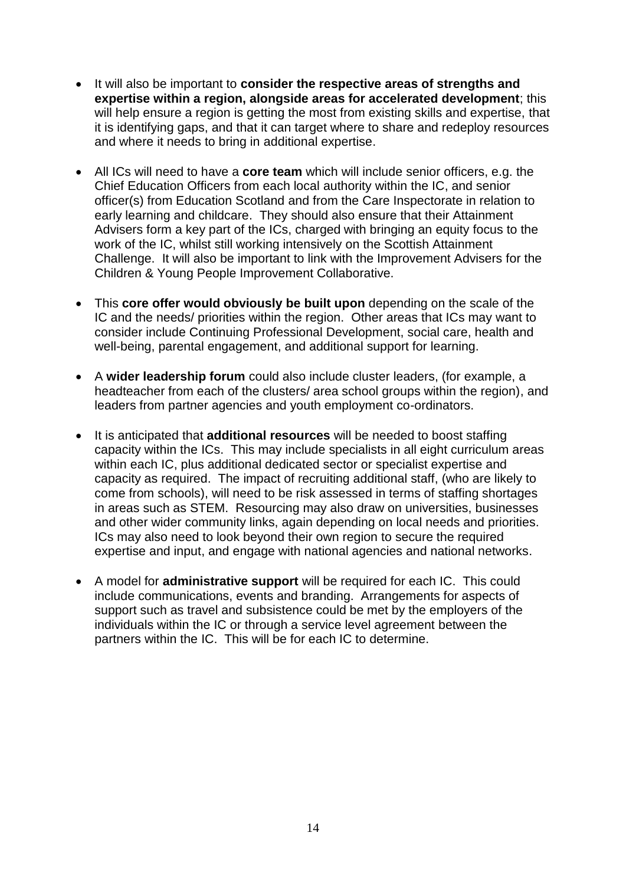- It will also be important to **consider the respective areas of strengths and expertise within a region, alongside areas for accelerated development**; this will help ensure a region is getting the most from existing skills and expertise, that it is identifying gaps, and that it can target where to share and redeploy resources and where it needs to bring in additional expertise.
- All ICs will need to have a **core team** which will include senior officers, e.g. the Chief Education Officers from each local authority within the IC, and senior officer(s) from Education Scotland and from the Care Inspectorate in relation to early learning and childcare. They should also ensure that their Attainment Advisers form a key part of the ICs, charged with bringing an equity focus to the work of the IC, whilst still working intensively on the Scottish Attainment Challenge. It will also be important to link with the Improvement Advisers for the Children & Young People Improvement Collaborative.
- This **core offer would obviously be built upon** depending on the scale of the IC and the needs/ priorities within the region. Other areas that ICs may want to consider include Continuing Professional Development, social care, health and well-being, parental engagement, and additional support for learning.
- A **wider leadership forum** could also include cluster leaders, (for example, a headteacher from each of the clusters/ area school groups within the region), and leaders from partner agencies and youth employment co-ordinators.
- It is anticipated that **additional resources** will be needed to boost staffing capacity within the ICs. This may include specialists in all eight curriculum areas within each IC, plus additional dedicated sector or specialist expertise and capacity as required. The impact of recruiting additional staff, (who are likely to come from schools), will need to be risk assessed in terms of staffing shortages in areas such as STEM. Resourcing may also draw on universities, businesses and other wider community links, again depending on local needs and priorities. ICs may also need to look beyond their own region to secure the required expertise and input, and engage with national agencies and national networks.
- A model for **administrative support** will be required for each IC. This could include communications, events and branding. Arrangements for aspects of support such as travel and subsistence could be met by the employers of the individuals within the IC or through a service level agreement between the partners within the IC. This will be for each IC to determine.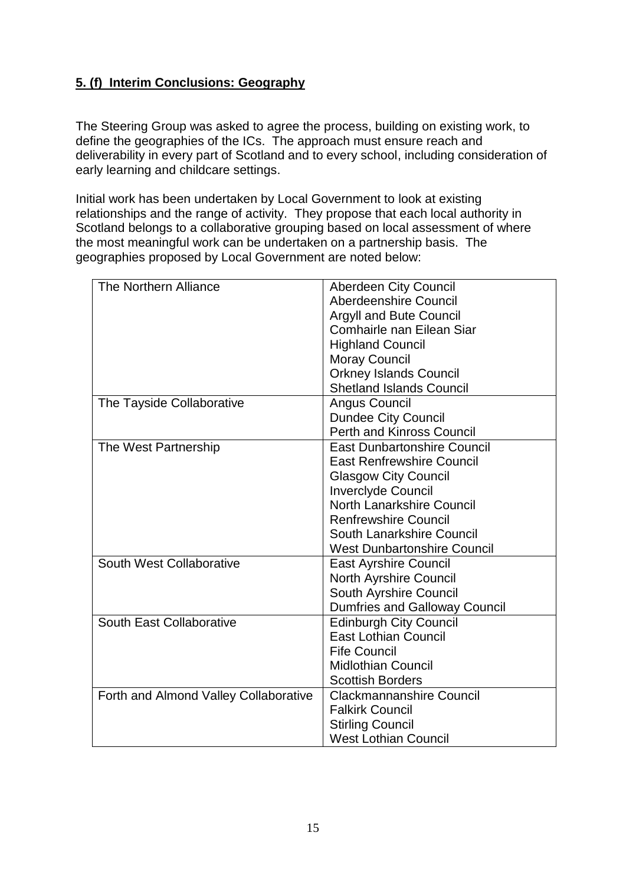# **5. (f) Interim Conclusions: Geography**

The Steering Group was asked to agree the process, building on existing work, to define the geographies of the ICs. The approach must ensure reach and deliverability in every part of Scotland and to every school, including consideration of early learning and childcare settings.

Initial work has been undertaken by Local Government to look at existing relationships and the range of activity. They propose that each local authority in Scotland belongs to a collaborative grouping based on local assessment of where the most meaningful work can be undertaken on a partnership basis. The geographies proposed by Local Government are noted below:

| The Northern Alliance                 | <b>Aberdeen City Council</b>         |  |
|---------------------------------------|--------------------------------------|--|
|                                       | Aberdeenshire Council                |  |
|                                       | <b>Argyll and Bute Council</b>       |  |
|                                       | Comhairle nan Eilean Siar            |  |
|                                       | <b>Highland Council</b>              |  |
|                                       | <b>Moray Council</b>                 |  |
|                                       | <b>Orkney Islands Council</b>        |  |
|                                       | <b>Shetland Islands Council</b>      |  |
| The Tayside Collaborative             | Angus Council                        |  |
|                                       | <b>Dundee City Council</b>           |  |
|                                       | <b>Perth and Kinross Council</b>     |  |
| The West Partnership                  | <b>East Dunbartonshire Council</b>   |  |
|                                       | <b>East Renfrewshire Council</b>     |  |
|                                       | <b>Glasgow City Council</b>          |  |
|                                       | <b>Inverclyde Council</b>            |  |
|                                       | <b>North Lanarkshire Council</b>     |  |
|                                       | <b>Renfrewshire Council</b>          |  |
|                                       | South Lanarkshire Council            |  |
|                                       | <b>West Dunbartonshire Council</b>   |  |
| South West Collaborative              | <b>East Ayrshire Council</b>         |  |
|                                       | <b>North Ayrshire Council</b>        |  |
|                                       | South Ayrshire Council               |  |
|                                       | <b>Dumfries and Galloway Council</b> |  |
| South East Collaborative              | <b>Edinburgh City Council</b>        |  |
|                                       | <b>East Lothian Council</b>          |  |
|                                       | <b>Fife Council</b>                  |  |
|                                       | <b>Midlothian Council</b>            |  |
|                                       | <b>Scottish Borders</b>              |  |
| Forth and Almond Valley Collaborative | <b>Clackmannanshire Council</b>      |  |
|                                       | <b>Falkirk Council</b>               |  |
|                                       | <b>Stirling Council</b>              |  |
|                                       | <b>West Lothian Council</b>          |  |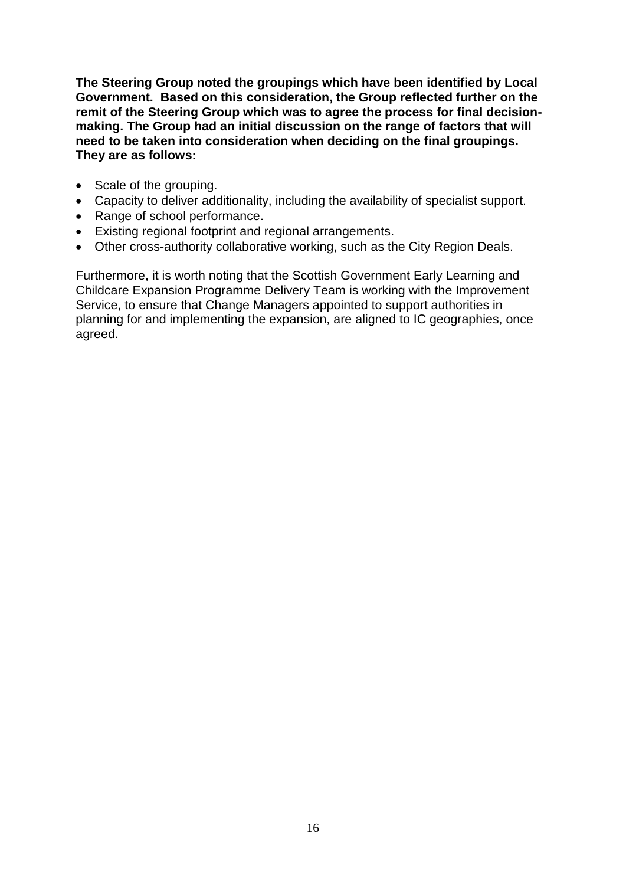**The Steering Group noted the groupings which have been identified by Local Government. Based on this consideration, the Group reflected further on the remit of the Steering Group which was to agree the process for final decisionmaking. The Group had an initial discussion on the range of factors that will need to be taken into consideration when deciding on the final groupings. They are as follows:**

- Scale of the grouping.
- Capacity to deliver additionality, including the availability of specialist support.
- Range of school performance.
- Existing regional footprint and regional arrangements.
- Other cross-authority collaborative working, such as the City Region Deals.

Furthermore, it is worth noting that the Scottish Government Early Learning and Childcare Expansion Programme Delivery Team is working with the Improvement Service, to ensure that Change Managers appointed to support authorities in planning for and implementing the expansion, are aligned to IC geographies, once agreed.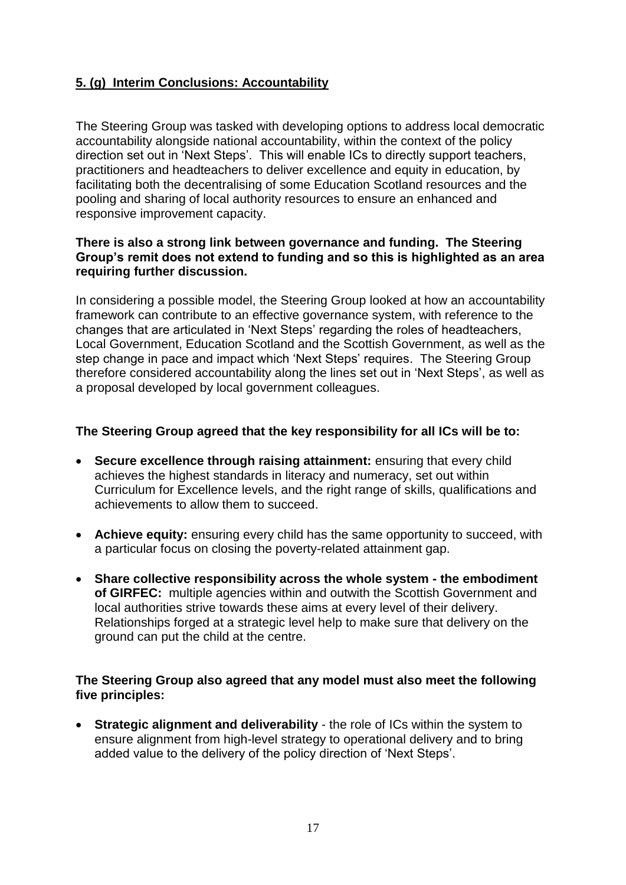# **5. (g) Interim Conclusions: Accountability**

The Steering Group was tasked with developing options to address local democratic accountability alongside national accountability, within the context of the policy direction set out in 'Next Steps'. This will enable ICs to directly support teachers, practitioners and headteachers to deliver excellence and equity in education, by facilitating both the decentralising of some Education Scotland resources and the pooling and sharing of local authority resources to ensure an enhanced and responsive improvement capacity.

#### **There is also a strong link between governance and funding. The Steering**  Group's remit does not extend to funding and so this is highlighted as an area **requiring further discussion.**

In considering a possible model, the Steering Group looked at how an accountability framework can contribute to an effective governance system, with reference to the changes that are articulated in 'Next Steps' regarding the roles of headteachers, Local Government, Education Scotland and the Scottish Government, as well as the step change in pace and impact which 'Next Steps' requires. The Steering Group therefore considered accountability along the lines set out in 'Next Steps', as well as a proposal developed by local government colleagues.

### **The Steering Group agreed that the key responsibility for all ICs will be to:**

- **Secure excellence through raising attainment:** ensuring that every child achieves the highest standards in literacy and numeracy, set out within Curriculum for Excellence levels, and the right range of skills, qualifications and achievements to allow them to succeed.
- **Achieve equity:** ensuring every child has the same opportunity to succeed, with a particular focus on closing the poverty-related attainment gap.
- **Share collective responsibility across the whole system - the embodiment of GIRFEC:** multiple agencies within and outwith the Scottish Government and local authorities strive towards these aims at every level of their delivery. Relationships forged at a strategic level help to make sure that delivery on the ground can put the child at the centre.

### **The Steering Group also agreed that any model must also meet the following five principles:**

 **Strategic alignment and deliverability** - the role of ICs within the system to ensure alignment from high-level strategy to operational delivery and to bring added value to the delivery of the policy direction of 'Next Steps'.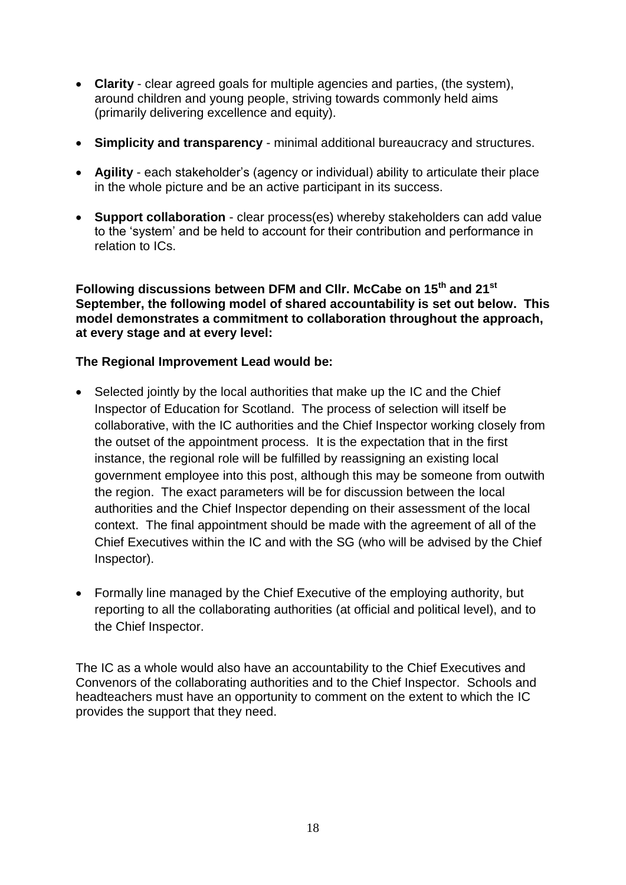- **Clarity** clear agreed goals for multiple agencies and parties, (the system), around children and young people, striving towards commonly held aims (primarily delivering excellence and equity).
- **Simplicity and transparency**  minimal additional bureaucracy and structures.
- **Agility** each stakeholder's (agency or individual) ability to articulate their place in the whole picture and be an active participant in its success.
- **Support collaboration** clear process(es) whereby stakeholders can add value to the 'system' and be held to account for their contribution and performance in relation to ICs.

**Following discussions between DFM and Cllr. McCabe on 15th and 21st September, the following model of shared accountability is set out below. This model demonstrates a commitment to collaboration throughout the approach, at every stage and at every level:**

## **The Regional Improvement Lead would be:**

- Selected jointly by the local authorities that make up the IC and the Chief Inspector of Education for Scotland. The process of selection will itself be collaborative, with the IC authorities and the Chief Inspector working closely from the outset of the appointment process. It is the expectation that in the first instance, the regional role will be fulfilled by reassigning an existing local government employee into this post, although this may be someone from outwith the region. The exact parameters will be for discussion between the local authorities and the Chief Inspector depending on their assessment of the local context. The final appointment should be made with the agreement of all of the Chief Executives within the IC and with the SG (who will be advised by the Chief Inspector).
- Formally line managed by the Chief Executive of the employing authority, but reporting to all the collaborating authorities (at official and political level), and to the Chief Inspector.

The IC as a whole would also have an accountability to the Chief Executives and Convenors of the collaborating authorities and to the Chief Inspector. Schools and headteachers must have an opportunity to comment on the extent to which the IC provides the support that they need.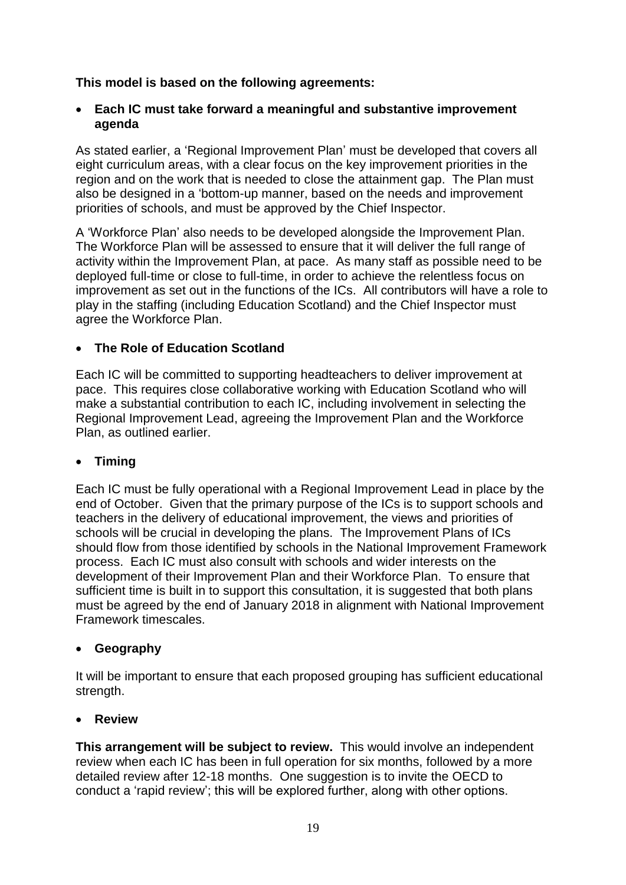## **This model is based on the following agreements:**

### **Each IC must take forward a meaningful and substantive improvement agenda**

As stated earlier, a 'Regional Improvement Plan' must be developed that covers all eight curriculum areas, with a clear focus on the key improvement priorities in the region and on the work that is needed to close the attainment gap. The Plan must also be designed in a 'bottom-up manner, based on the needs and improvement priorities of schools, and must be approved by the Chief Inspector.

A 'Workforce Plan' also needs to be developed alongside the Improvement Plan. The Workforce Plan will be assessed to ensure that it will deliver the full range of activity within the Improvement Plan, at pace. As many staff as possible need to be deployed full-time or close to full-time, in order to achieve the relentless focus on improvement as set out in the functions of the ICs. All contributors will have a role to play in the staffing (including Education Scotland) and the Chief Inspector must agree the Workforce Plan.

# **The Role of Education Scotland**

Each IC will be committed to supporting headteachers to deliver improvement at pace. This requires close collaborative working with Education Scotland who will make a substantial contribution to each IC, including involvement in selecting the Regional Improvement Lead, agreeing the Improvement Plan and the Workforce Plan, as outlined earlier.

## **Timing**

Each IC must be fully operational with a Regional Improvement Lead in place by the end of October. Given that the primary purpose of the ICs is to support schools and teachers in the delivery of educational improvement, the views and priorities of schools will be crucial in developing the plans. The Improvement Plans of ICs should flow from those identified by schools in the National Improvement Framework process. Each IC must also consult with schools and wider interests on the development of their Improvement Plan and their Workforce Plan. To ensure that sufficient time is built in to support this consultation, it is suggested that both plans must be agreed by the end of January 2018 in alignment with National Improvement Framework timescales.

## **Geography**

It will be important to ensure that each proposed grouping has sufficient educational strength.

## **Review**

**This arrangement will be subject to review.** This would involve an independent review when each IC has been in full operation for six months, followed by a more detailed review after 12-18 months. One suggestion is to invite the OECD to conduct a 'rapid review'; this will be explored further, along with other options.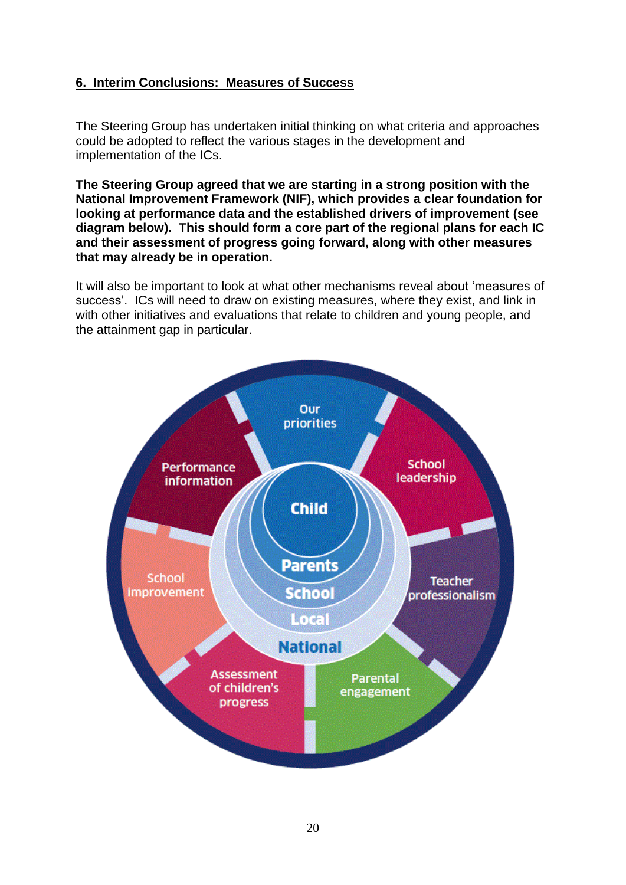## **6. Interim Conclusions: Measures of Success**

The Steering Group has undertaken initial thinking on what criteria and approaches could be adopted to reflect the various stages in the development and implementation of the ICs.

**The Steering Group agreed that we are starting in a strong position with the National Improvement Framework (NIF), which provides a clear foundation for looking at performance data and the established drivers of improvement (see diagram below). This should form a core part of the regional plans for each IC and their assessment of progress going forward, along with other measures that may already be in operation.** 

It will also be important to look at what other mechanisms reveal about 'measures of success'. ICs will need to draw on existing measures, where they exist, and link in with other initiatives and evaluations that relate to children and young people, and the attainment gap in particular.

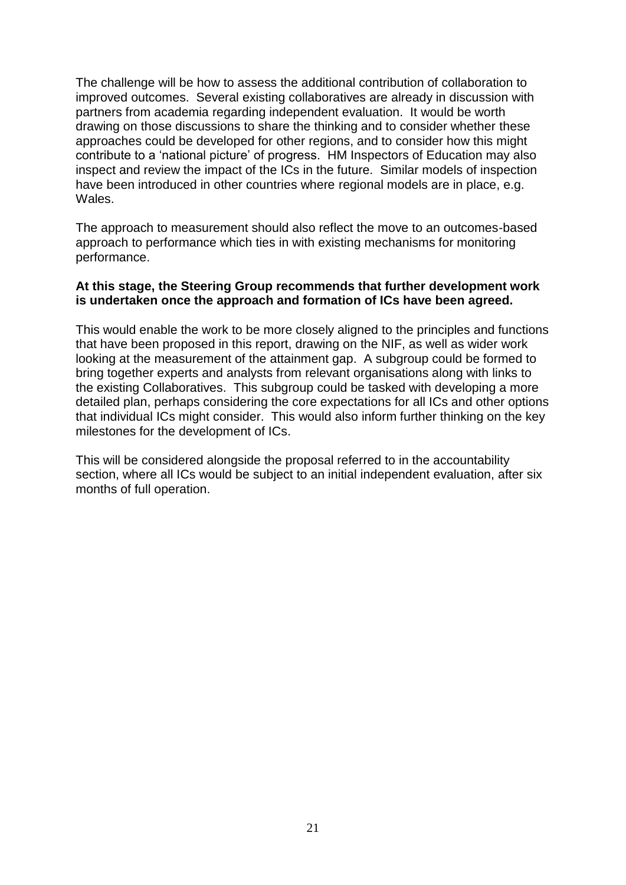The challenge will be how to assess the additional contribution of collaboration to improved outcomes. Several existing collaboratives are already in discussion with partners from academia regarding independent evaluation. It would be worth drawing on those discussions to share the thinking and to consider whether these approaches could be developed for other regions, and to consider how this might contribute to a 'national picture' of progress. HM Inspectors of Education may also inspect and review the impact of the ICs in the future. Similar models of inspection have been introduced in other countries where regional models are in place, e.g. Wales.

The approach to measurement should also reflect the move to an outcomes-based approach to performance which ties in with existing mechanisms for monitoring performance.

#### **At this stage, the Steering Group recommends that further development work is undertaken once the approach and formation of ICs have been agreed.**

This would enable the work to be more closely aligned to the principles and functions that have been proposed in this report, drawing on the NIF, as well as wider work looking at the measurement of the attainment gap. A subgroup could be formed to bring together experts and analysts from relevant organisations along with links to the existing Collaboratives. This subgroup could be tasked with developing a more detailed plan, perhaps considering the core expectations for all ICs and other options that individual ICs might consider. This would also inform further thinking on the key milestones for the development of ICs.

This will be considered alongside the proposal referred to in the accountability section, where all ICs would be subject to an initial independent evaluation, after six months of full operation.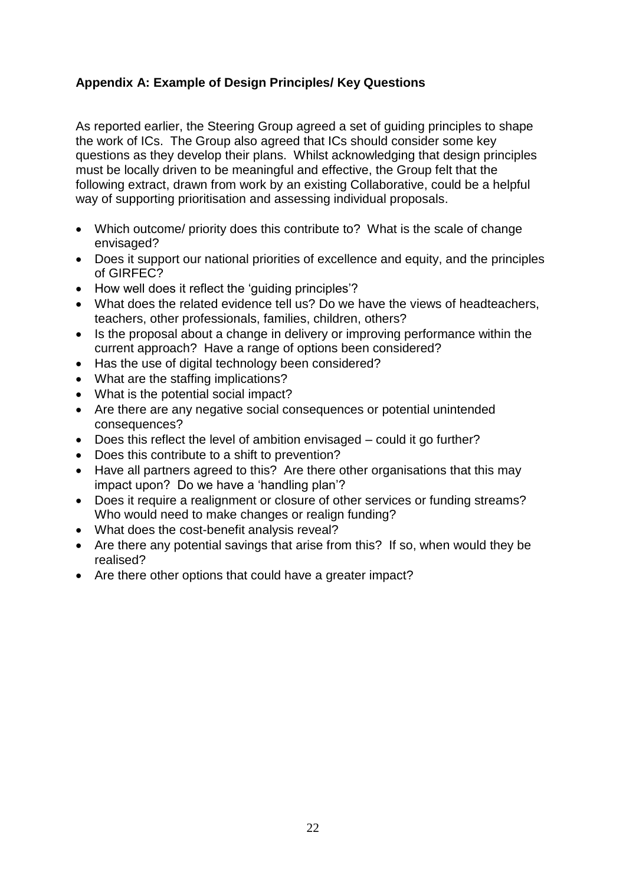# **Appendix A: Example of Design Principles/ Key Questions**

As reported earlier, the Steering Group agreed a set of guiding principles to shape the work of ICs. The Group also agreed that ICs should consider some key questions as they develop their plans. Whilst acknowledging that design principles must be locally driven to be meaningful and effective, the Group felt that the following extract, drawn from work by an existing Collaborative, could be a helpful way of supporting prioritisation and assessing individual proposals.

- Which outcome/ priority does this contribute to? What is the scale of change envisaged?
- Does it support our national priorities of excellence and equity, and the principles of GIRFEC?
- How well does it reflect the 'guiding principles'?
- What does the related evidence tell us? Do we have the views of headteachers, teachers, other professionals, families, children, others?
- Is the proposal about a change in delivery or improving performance within the current approach? Have a range of options been considered?
- Has the use of digital technology been considered?
- What are the staffing implications?
- What is the potential social impact?
- Are there are any negative social consequences or potential unintended consequences?
- Does this reflect the level of ambition envisaged could it go further?
- Does this contribute to a shift to prevention?
- Have all partners agreed to this? Are there other organisations that this may impact upon? Do we have a 'handling plan'?
- Does it require a realignment or closure of other services or funding streams? Who would need to make changes or realign funding?
- What does the cost-benefit analysis reveal?
- Are there any potential savings that arise from this? If so, when would they be realised?
- Are there other options that could have a greater impact?